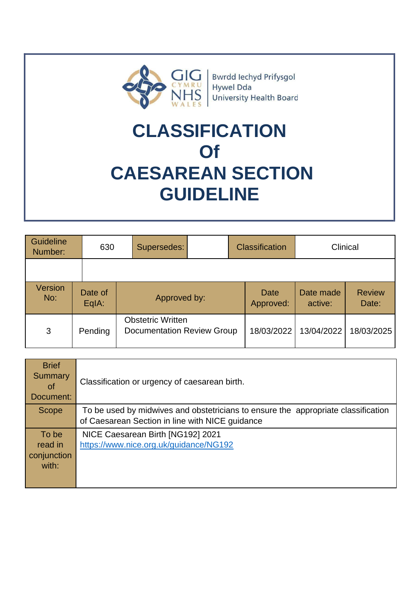

Bwrdd Iechyd Prifysgol Hywel Dda **University Health Board** 

# **CLASSIFICATION Of CAESAREAN SECTION GUIDELINE**

| Guideline<br>Number:  | 630              | Supersedes:                                                   | <b>Classification</b> | Clinical             |                        |
|-----------------------|------------------|---------------------------------------------------------------|-----------------------|----------------------|------------------------|
|                       |                  |                                                               |                       |                      |                        |
| <b>Version</b><br>No: | Date of<br>EqIA: | Approved by:                                                  | Date<br>Approved:     | Date made<br>active: | <b>Review</b><br>Date: |
| 3                     | Pending          | <b>Obstetric Written</b><br><b>Documentation Review Group</b> | 18/03/2022            | 13/04/2022           | 18/03/2025             |

| <b>Brief</b><br>Summary<br><b>of</b><br>Document: | Classification or urgency of caesarean birth.                                                                                        |
|---------------------------------------------------|--------------------------------------------------------------------------------------------------------------------------------------|
| Scope                                             | To be used by midwives and obstetricians to ensure the appropriate classification<br>of Caesarean Section in line with NICE guidance |
| To be<br>read in<br>conjunction<br>with:          | NICE Caesarean Birth [NG192] 2021<br>https://www.nice.org.uk/guidance/NG192                                                          |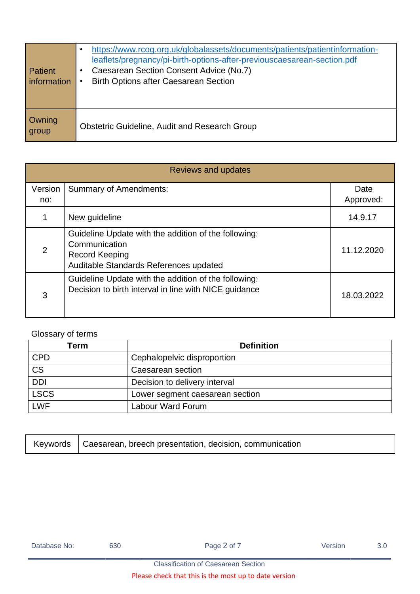| Patient<br>information | https://www.rcog.org.uk/globalassets/documents/patients/patientinformation-<br>leaflets/pregnancy/pi-birth-options-after-previouscaesarean-section.pdf<br>Caesarean Section Consent Advice (No.7)<br>٠<br><b>Birth Options after Caesarean Section</b> |
|------------------------|--------------------------------------------------------------------------------------------------------------------------------------------------------------------------------------------------------------------------------------------------------|
| Owning<br>group        | <b>Obstetric Guideline, Audit and Research Group</b>                                                                                                                                                                                                   |

| Reviews and updates |                                                                                                                                          |                   |  |  |
|---------------------|------------------------------------------------------------------------------------------------------------------------------------------|-------------------|--|--|
| Version<br>no:      | <b>Summary of Amendments:</b>                                                                                                            | Date<br>Approved: |  |  |
|                     | New guideline                                                                                                                            | 14.9.17           |  |  |
| 2                   | Guideline Update with the addition of the following:<br>Communication<br><b>Record Keeping</b><br>Auditable Standards References updated | 11.12.2020        |  |  |
| 3                   | Guideline Update with the addition of the following:<br>Decision to birth interval in line with NICE guidance                            | 18.03.2022        |  |  |

# Glossary of terms

| Геrm        | <b>Definition</b>               |
|-------------|---------------------------------|
| <b>CPD</b>  | Cephalopelvic disproportion     |
| <b>CS</b>   | Caesarean section               |
| <b>DDI</b>  | Decision to delivery interval   |
| <b>LSCS</b> | Lower segment caesarean section |
| <b>LWF</b>  | Labour Ward Forum               |

|  | Keywords   Caesarean, breech presentation, decision, communication |  |
|--|--------------------------------------------------------------------|--|
|--|--------------------------------------------------------------------|--|

| Database No: | 630 | Page 2 of 7 | Version | 3.0 |
|--------------|-----|-------------|---------|-----|
|              |     |             |         |     |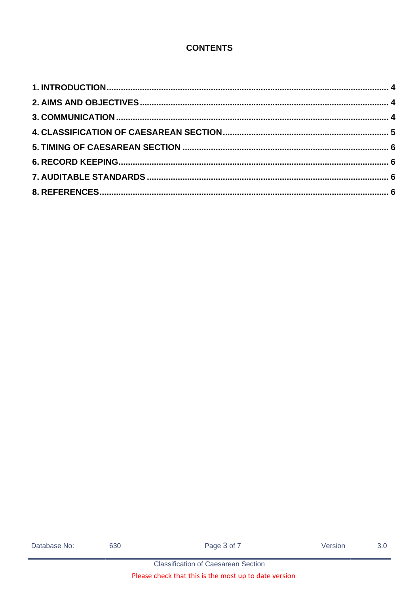# **CONTENTS**

| Database No: |  |
|--------------|--|
|--------------|--|

630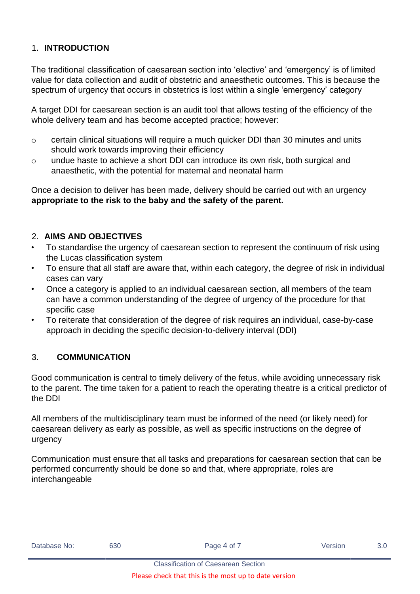#### <span id="page-3-0"></span>1. **INTRODUCTION**

The traditional classification of caesarean section into 'elective' and 'emergency' is of limited value for data collection and audit of obstetric and anaesthetic outcomes. This is because the spectrum of urgency that occurs in obstetrics is lost within a single 'emergency' category

A target DDI for caesarean section is an audit tool that allows testing of the efficiency of the whole delivery team and has become accepted practice; however:

- o certain clinical situations will require a much quicker DDI than 30 minutes and units should work towards improving their efficiency
- o undue haste to achieve a short DDI can introduce its own risk, both surgical and anaesthetic, with the potential for maternal and neonatal harm

Once a decision to deliver has been made, delivery should be carried out with an urgency **appropriate to the risk to the baby and the safety of the parent.**

#### <span id="page-3-1"></span>2. **AIMS AND OBJECTIVES**

- To standardise the urgency of caesarean section to represent the continuum of risk using the Lucas classification system
- To ensure that all staff are aware that, within each category, the degree of risk in individual cases can vary
- Once a category is applied to an individual caesarean section, all members of the team can have a common understanding of the degree of urgency of the procedure for that specific case
- To reiterate that consideration of the degree of risk requires an individual, case-by-case approach in deciding the specific decision-to-delivery interval (DDI)

#### <span id="page-3-2"></span>3. **COMMUNICATION**

Good communication is central to timely delivery of the fetus, while avoiding unnecessary risk to the parent. The time taken for a patient to reach the operating theatre is a critical predictor of the DDI

All members of the multidisciplinary team must be informed of the need (or likely need) for caesarean delivery as early as possible, as well as specific instructions on the degree of urgency

Communication must ensure that all tasks and preparations for caesarean section that can be performed concurrently should be done so and that, where appropriate, roles are interchangeable

| Database No: | 630 | Page 4 of 7 | Version | 3.0 |
|--------------|-----|-------------|---------|-----|
|              |     |             |         |     |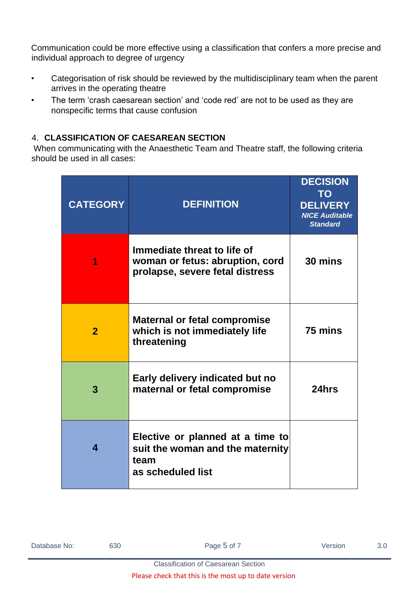Communication could be more effective using a classification that confers a more precise and individual approach to degree of urgency

- Categorisation of risk should be reviewed by the multidisciplinary team when the parent arrives in the operating theatre
- The term 'crash caesarean section' and 'code red' are not to be used as they are nonspecific terms that cause confusion

# <span id="page-4-0"></span>4. **CLASSIFICATION OF CAESAREAN SECTION**

When communicating with the Anaesthetic Team and Theatre staff, the following criteria should be used in all cases:

| <b>CATEGORY</b> | <b>DEFINITION</b>                                                                                 | <b>DECISION</b><br>TO<br><b>DELIVERY</b><br><b>NICE Auditable</b><br><b>Standard</b> |
|-----------------|---------------------------------------------------------------------------------------------------|--------------------------------------------------------------------------------------|
|                 | Immediate threat to life of<br>woman or fetus: abruption, cord<br>prolapse, severe fetal distress | 30 mins                                                                              |
| $\mathbf{2}$    | <b>Maternal or fetal compromise</b><br>which is not immediately life<br>threatening               | 75 mins                                                                              |
| 3               | Early delivery indicated but no<br>maternal or fetal compromise                                   | 24hrs                                                                                |
| 4               | Elective or planned at a time to<br>suit the woman and the maternity<br>team<br>as scheduled list |                                                                                      |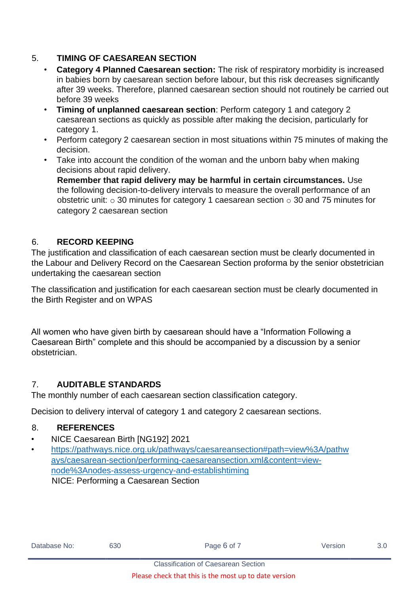# <span id="page-5-0"></span>5. **TIMING OF CAESAREAN SECTION**

- **Category 4 Planned Caesarean section:** The risk of respiratory morbidity is increased in babies born by caesarean section before labour, but this risk decreases significantly after 39 weeks. Therefore, planned caesarean section should not routinely be carried out before 39 weeks
- **Timing of unplanned caesarean section**: Perform category 1 and category 2 caesarean sections as quickly as possible after making the decision, particularly for category 1.
- Perform category 2 caesarean section in most situations within 75 minutes of making the decision.
- Take into account the condition of the woman and the unborn baby when making decisions about rapid delivery.

**Remember that rapid delivery may be harmful in certain circumstances.** Use the following decision-to-delivery intervals to measure the overall performance of an obstetric unit:  $\circ$  30 minutes for category 1 caesarean section  $\circ$  30 and 75 minutes for category 2 caesarean section

# <span id="page-5-1"></span>6. **RECORD KEEPING**

The justification and classification of each caesarean section must be clearly documented in the Labour and Delivery Record on the Caesarean Section proforma by the senior obstetrician undertaking the caesarean section

The classification and justification for each caesarean section must be clearly documented in the Birth Register and on WPAS

All women who have given birth by caesarean should have a "Information Following a Caesarean Birth" complete and this should be accompanied by a discussion by a senior obstetrician.

#### <span id="page-5-2"></span>7. **AUDITABLE STANDARDS**

The monthly number of each caesarean section classification category.

Decision to delivery interval of category 1 and category 2 caesarean sections.

#### <span id="page-5-3"></span>8. **REFERENCES**

- NICE Caesarean Birth [NG192] 2021
- [https://pathways.nice.org.uk/pathways/caesareansection#path=view%3A/pathw](https://pathways.nice.org.uk/pathways/caesarean-section#path=view%3A/pathways/caesarean-section/performing-caesarean-section.xml&content=view-node%3Anodes-assess-urgency-and-establish-timing) [ays/caesarean-section/performing-caesareansection.xml&content=view](https://pathways.nice.org.uk/pathways/caesarean-section#path=view%3A/pathways/caesarean-section/performing-caesarean-section.xml&content=view-node%3Anodes-assess-urgency-and-establish-timing)[node%3Anodes-assess-urgency-and-establishtiming](https://pathways.nice.org.uk/pathways/caesarean-section#path=view%3A/pathways/caesarean-section/performing-caesarean-section.xml&content=view-node%3Anodes-assess-urgency-and-establish-timing) NICE: Performing a Caesarean Section